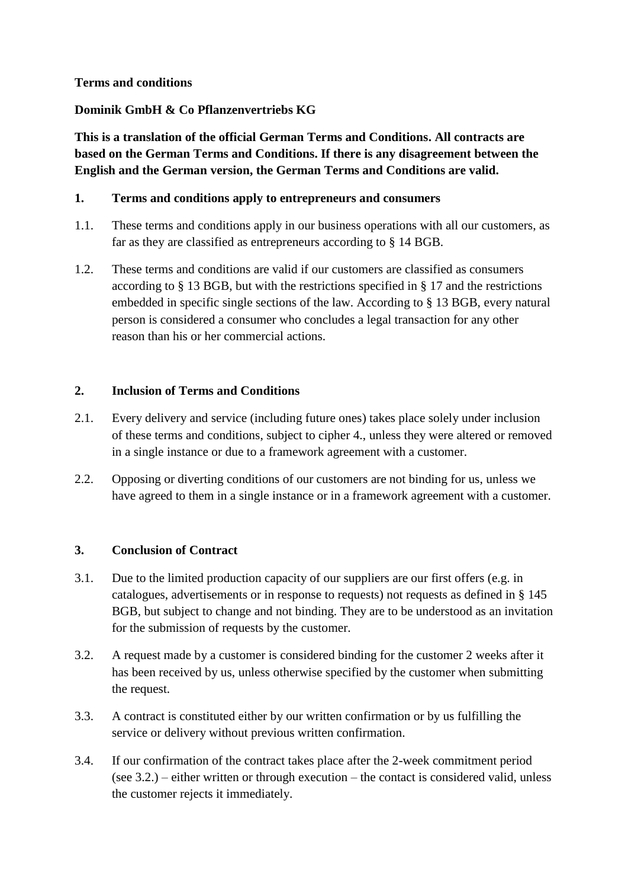### **Terms and conditions**

## **Dominik GmbH & Co Pflanzenvertriebs KG**

**This is a translation of the official German Terms and Conditions. All contracts are based on the German Terms and Conditions. If there is any disagreement between the English and the German version, the German Terms and Conditions are valid.**

## **1. Terms and conditions apply to entrepreneurs and consumers**

- 1.1. These terms and conditions apply in our business operations with all our customers, as far as they are classified as entrepreneurs according to § 14 BGB.
- 1.2. These terms and conditions are valid if our customers are classified as consumers according to § 13 BGB, but with the restrictions specified in § 17 and the restrictions embedded in specific single sections of the law. According to § 13 BGB, every natural person is considered a consumer who concludes a legal transaction for any other reason than his or her commercial actions.

## **2. Inclusion of Terms and Conditions**

- 2.1. Every delivery and service (including future ones) takes place solely under inclusion of these terms and conditions, subject to cipher 4., unless they were altered or removed in a single instance or due to a framework agreement with a customer.
- 2.2. Opposing or diverting conditions of our customers are not binding for us, unless we have agreed to them in a single instance or in a framework agreement with a customer.

### **3. Conclusion of Contract**

- 3.1. Due to the limited production capacity of our suppliers are our first offers (e.g. in catalogues, advertisements or in response to requests) not requests as defined in § 145 BGB, but subject to change and not binding. They are to be understood as an invitation for the submission of requests by the customer.
- 3.2. A request made by a customer is considered binding for the customer 2 weeks after it has been received by us, unless otherwise specified by the customer when submitting the request.
- 3.3. A contract is constituted either by our written confirmation or by us fulfilling the service or delivery without previous written confirmation.
- 3.4. If our confirmation of the contract takes place after the 2-week commitment period (see 3.2.) – either written or through execution – the contact is considered valid, unless the customer rejects it immediately.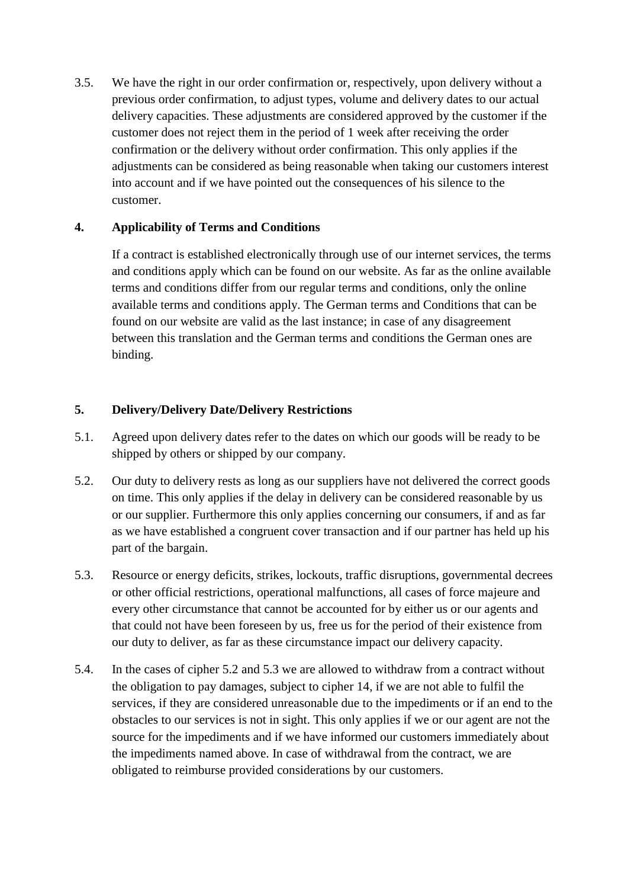3.5. We have the right in our order confirmation or, respectively, upon delivery without a previous order confirmation, to adjust types, volume and delivery dates to our actual delivery capacities. These adjustments are considered approved by the customer if the customer does not reject them in the period of 1 week after receiving the order confirmation or the delivery without order confirmation. This only applies if the adjustments can be considered as being reasonable when taking our customers interest into account and if we have pointed out the consequences of his silence to the customer.

## **4. Applicability of Terms and Conditions**

If a contract is established electronically through use of our internet services, the terms and conditions apply which can be found on our website. As far as the online available terms and conditions differ from our regular terms and conditions, only the online available terms and conditions apply. The German terms and Conditions that can be found on our website are valid as the last instance; in case of any disagreement between this translation and the German terms and conditions the German ones are binding.

## **5. Delivery/Delivery Date/Delivery Restrictions**

- 5.1. Agreed upon delivery dates refer to the dates on which our goods will be ready to be shipped by others or shipped by our company.
- 5.2. Our duty to delivery rests as long as our suppliers have not delivered the correct goods on time. This only applies if the delay in delivery can be considered reasonable by us or our supplier. Furthermore this only applies concerning our consumers, if and as far as we have established a congruent cover transaction and if our partner has held up his part of the bargain.
- 5.3. Resource or energy deficits, strikes, lockouts, traffic disruptions, governmental decrees or other official restrictions, operational malfunctions, all cases of force majeure and every other circumstance that cannot be accounted for by either us or our agents and that could not have been foreseen by us, free us for the period of their existence from our duty to deliver, as far as these circumstance impact our delivery capacity.
- 5.4. In the cases of cipher 5.2 and 5.3 we are allowed to withdraw from a contract without the obligation to pay damages, subject to cipher 14, if we are not able to fulfil the services, if they are considered unreasonable due to the impediments or if an end to the obstacles to our services is not in sight. This only applies if we or our agent are not the source for the impediments and if we have informed our customers immediately about the impediments named above. In case of withdrawal from the contract, we are obligated to reimburse provided considerations by our customers.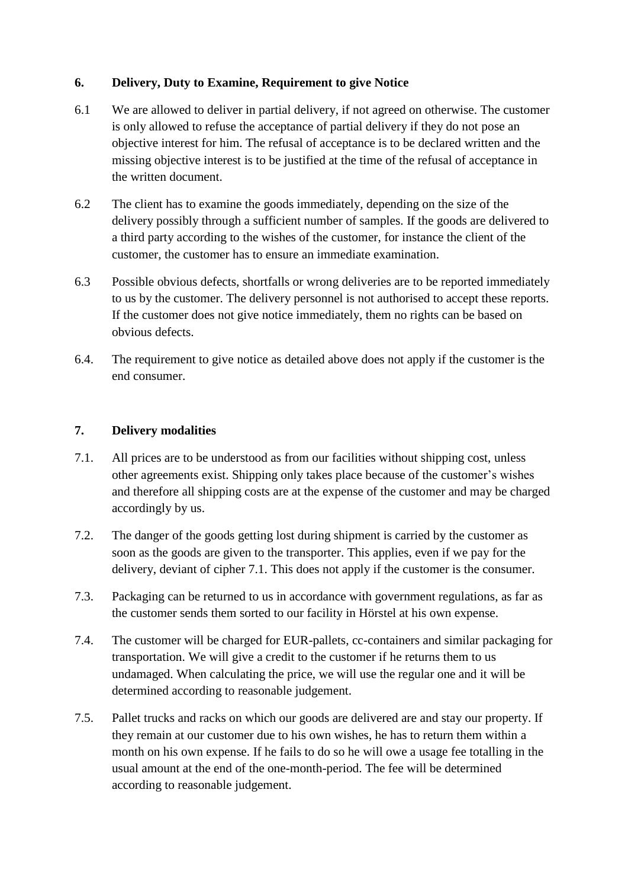## **6. Delivery, Duty to Examine, Requirement to give Notice**

- 6.1 We are allowed to deliver in partial delivery, if not agreed on otherwise. The customer is only allowed to refuse the acceptance of partial delivery if they do not pose an objective interest for him. The refusal of acceptance is to be declared written and the missing objective interest is to be justified at the time of the refusal of acceptance in the written document.
- 6.2 The client has to examine the goods immediately, depending on the size of the delivery possibly through a sufficient number of samples. If the goods are delivered to a third party according to the wishes of the customer, for instance the client of the customer, the customer has to ensure an immediate examination.
- 6.3 Possible obvious defects, shortfalls or wrong deliveries are to be reported immediately to us by the customer. The delivery personnel is not authorised to accept these reports. If the customer does not give notice immediately, them no rights can be based on obvious defects.
- 6.4. The requirement to give notice as detailed above does not apply if the customer is the end consumer.

### **7. Delivery modalities**

- 7.1. All prices are to be understood as from our facilities without shipping cost, unless other agreements exist. Shipping only takes place because of the customer's wishes and therefore all shipping costs are at the expense of the customer and may be charged accordingly by us.
- 7.2. The danger of the goods getting lost during shipment is carried by the customer as soon as the goods are given to the transporter. This applies, even if we pay for the delivery, deviant of cipher 7.1. This does not apply if the customer is the consumer.
- 7.3. Packaging can be returned to us in accordance with government regulations, as far as the customer sends them sorted to our facility in Hörstel at his own expense.
- 7.4. The customer will be charged for EUR-pallets, cc-containers and similar packaging for transportation. We will give a credit to the customer if he returns them to us undamaged. When calculating the price, we will use the regular one and it will be determined according to reasonable judgement.
- 7.5. Pallet trucks and racks on which our goods are delivered are and stay our property. If they remain at our customer due to his own wishes, he has to return them within a month on his own expense. If he fails to do so he will owe a usage fee totalling in the usual amount at the end of the one-month-period. The fee will be determined according to reasonable judgement.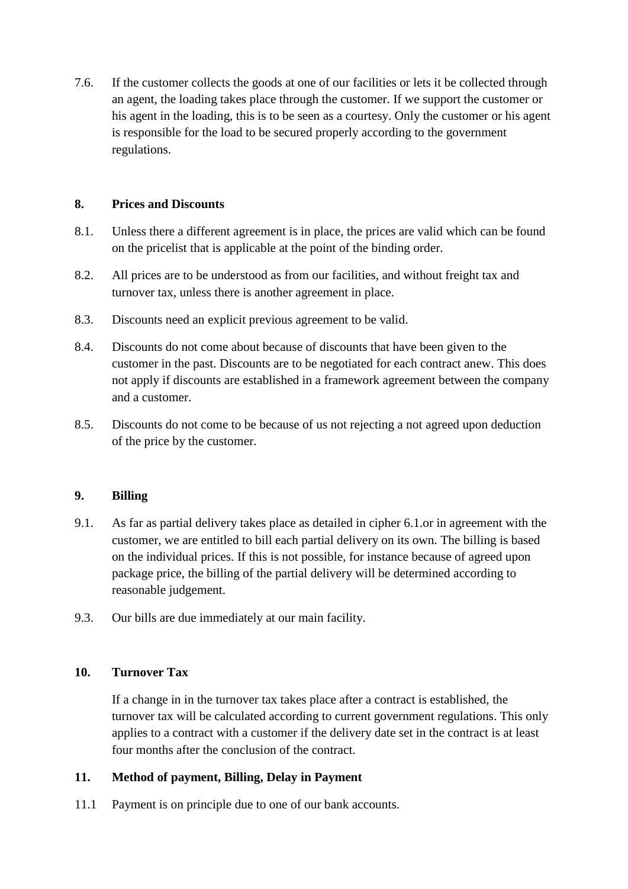7.6. If the customer collects the goods at one of our facilities or lets it be collected through an agent, the loading takes place through the customer. If we support the customer or his agent in the loading, this is to be seen as a courtesy. Only the customer or his agent is responsible for the load to be secured properly according to the government regulations.

### **8. Prices and Discounts**

- 8.1. Unless there a different agreement is in place, the prices are valid which can be found on the pricelist that is applicable at the point of the binding order.
- 8.2. All prices are to be understood as from our facilities, and without freight tax and turnover tax, unless there is another agreement in place.
- 8.3. Discounts need an explicit previous agreement to be valid.
- 8.4. Discounts do not come about because of discounts that have been given to the customer in the past. Discounts are to be negotiated for each contract anew. This does not apply if discounts are established in a framework agreement between the company and a customer.
- 8.5. Discounts do not come to be because of us not rejecting a not agreed upon deduction of the price by the customer.

### **9. Billing**

- 9.1. As far as partial delivery takes place as detailed in cipher 6.1.or in agreement with the customer, we are entitled to bill each partial delivery on its own. The billing is based on the individual prices. If this is not possible, for instance because of agreed upon package price, the billing of the partial delivery will be determined according to reasonable judgement.
- 9.3. Our bills are due immediately at our main facility.

#### **10. Turnover Tax**

If a change in in the turnover tax takes place after a contract is established, the turnover tax will be calculated according to current government regulations. This only applies to a contract with a customer if the delivery date set in the contract is at least four months after the conclusion of the contract.

### **11. Method of payment, Billing, Delay in Payment**

11.1 Payment is on principle due to one of our bank accounts.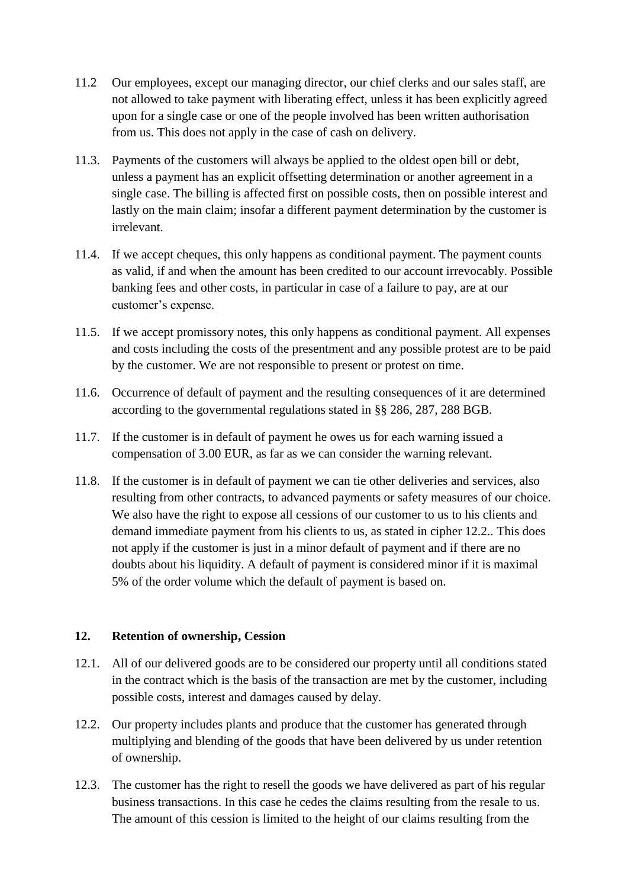- 11.2 Our employees, except our managing director, our chief clerks and our sales staff, are not allowed to take payment with liberating effect, unless it has been explicitly agreed upon for a single case or one of the people involved has been written authorisation from us. This does not apply in the case of cash on delivery.
- 11.3. Payments of the customers will always be applied to the oldest open bill or debt, unless a payment has an explicit offsetting determination or another agreement in a single case. The billing is affected first on possible costs, then on possible interest and lastly on the main claim; insofar a different payment determination by the customer is irrelevant.
- 11.4. If we accept cheques, this only happens as conditional payment. The payment counts as valid, if and when the amount has been credited to our account irrevocably. Possible banking fees and other costs, in particular in case of a failure to pay, are at our customer's expense.
- 11.5. If we accept promissory notes, this only happens as conditional payment. All expenses and costs including the costs of the presentment and any possible protest are to be paid by the customer. We are not responsible to present or protest on time.
- 11.6. Occurrence of default of payment and the resulting consequences of it are determined according to the governmental regulations stated in §§ 286, 287, 288 BGB.
- 11.7. If the customer is in default of payment he owes us for each warning issued a compensation of 3.00 EUR, as far as we can consider the warning relevant.
- 11.8. If the customer is in default of payment we can tie other deliveries and services, also resulting from other contracts, to advanced payments or safety measures of our choice. We also have the right to expose all cessions of our customer to us to his clients and demand immediate payment from his clients to us, as stated in cipher 12.2.. This does not apply if the customer is just in a minor default of payment and if there are no doubts about his liquidity. A default of payment is considered minor if it is maximal 5% of the order volume which the default of payment is based on.

### **12. Retention of ownership, Cession**

- 12.1. All of our delivered goods are to be considered our property until all conditions stated in the contract which is the basis of the transaction are met by the customer, including possible costs, interest and damages caused by delay.
- 12.2. Our property includes plants and produce that the customer has generated through multiplying and blending of the goods that have been delivered by us under retention of ownership.
- 12.3. The customer has the right to resell the goods we have delivered as part of his regular business transactions. In this case he cedes the claims resulting from the resale to us. The amount of this cession is limited to the height of our claims resulting from the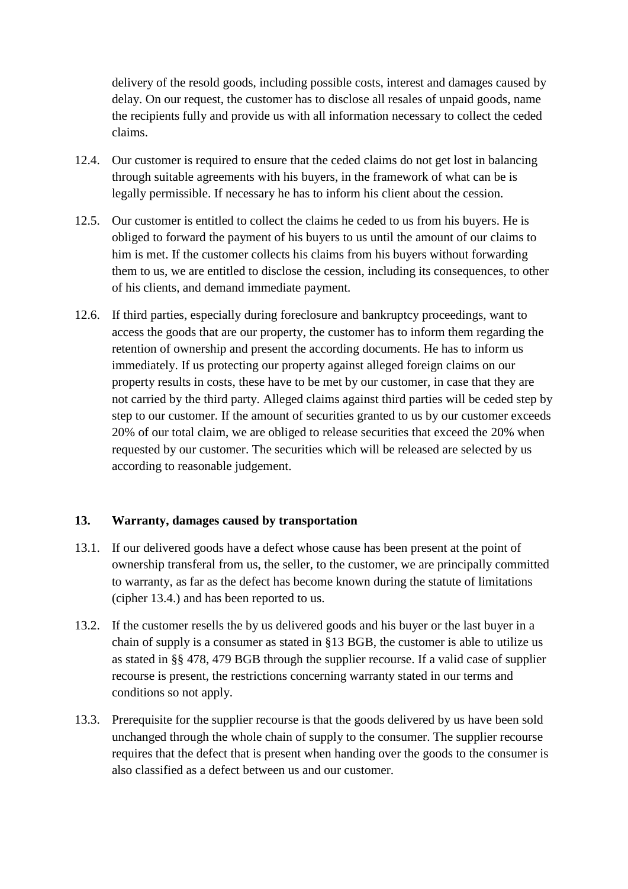delivery of the resold goods, including possible costs, interest and damages caused by delay. On our request, the customer has to disclose all resales of unpaid goods, name the recipients fully and provide us with all information necessary to collect the ceded claims.

- 12.4. Our customer is required to ensure that the ceded claims do not get lost in balancing through suitable agreements with his buyers, in the framework of what can be is legally permissible. If necessary he has to inform his client about the cession.
- 12.5. Our customer is entitled to collect the claims he ceded to us from his buyers. He is obliged to forward the payment of his buyers to us until the amount of our claims to him is met. If the customer collects his claims from his buyers without forwarding them to us, we are entitled to disclose the cession, including its consequences, to other of his clients, and demand immediate payment.
- 12.6. If third parties, especially during foreclosure and bankruptcy proceedings, want to access the goods that are our property, the customer has to inform them regarding the retention of ownership and present the according documents. He has to inform us immediately. If us protecting our property against alleged foreign claims on our property results in costs, these have to be met by our customer, in case that they are not carried by the third party. Alleged claims against third parties will be ceded step by step to our customer. If the amount of securities granted to us by our customer exceeds 20% of our total claim, we are obliged to release securities that exceed the 20% when requested by our customer. The securities which will be released are selected by us according to reasonable judgement.

### **13. Warranty, damages caused by transportation**

- 13.1. If our delivered goods have a defect whose cause has been present at the point of ownership transferal from us, the seller, to the customer, we are principally committed to warranty, as far as the defect has become known during the statute of limitations (cipher 13.4.) and has been reported to us.
- 13.2. If the customer resells the by us delivered goods and his buyer or the last buyer in a chain of supply is a consumer as stated in §13 BGB, the customer is able to utilize us as stated in §§ 478, 479 BGB through the supplier recourse. If a valid case of supplier recourse is present, the restrictions concerning warranty stated in our terms and conditions so not apply.
- 13.3. Prerequisite for the supplier recourse is that the goods delivered by us have been sold unchanged through the whole chain of supply to the consumer. The supplier recourse requires that the defect that is present when handing over the goods to the consumer is also classified as a defect between us and our customer.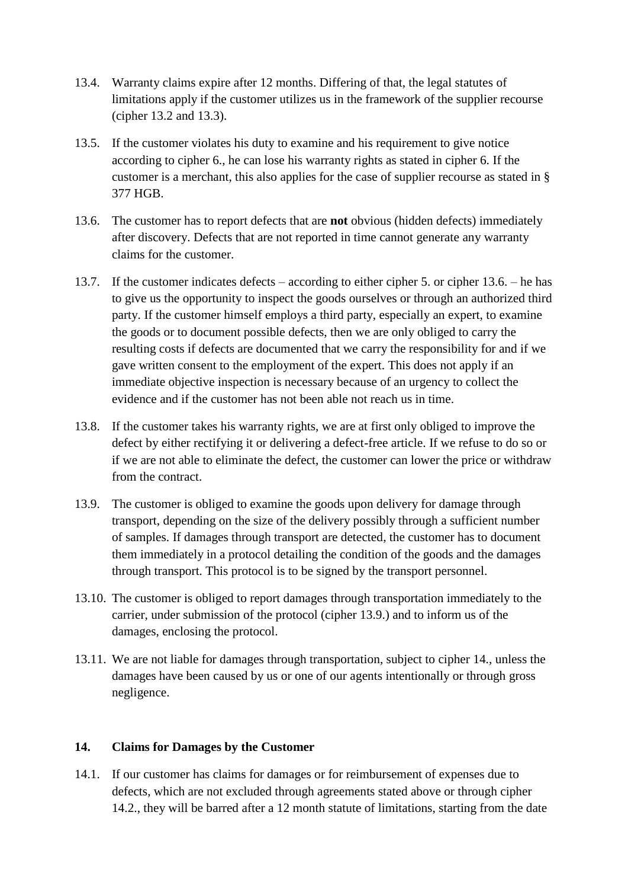- 13.4. Warranty claims expire after 12 months. Differing of that, the legal statutes of limitations apply if the customer utilizes us in the framework of the supplier recourse (cipher 13.2 and 13.3).
- 13.5. If the customer violates his duty to examine and his requirement to give notice according to cipher 6., he can lose his warranty rights as stated in cipher 6. If the customer is a merchant, this also applies for the case of supplier recourse as stated in § 377 HGB.
- 13.6. The customer has to report defects that are **not** obvious (hidden defects) immediately after discovery. Defects that are not reported in time cannot generate any warranty claims for the customer.
- 13.7. If the customer indicates defects according to either cipher 5. or cipher 13.6. he has to give us the opportunity to inspect the goods ourselves or through an authorized third party. If the customer himself employs a third party, especially an expert, to examine the goods or to document possible defects, then we are only obliged to carry the resulting costs if defects are documented that we carry the responsibility for and if we gave written consent to the employment of the expert. This does not apply if an immediate objective inspection is necessary because of an urgency to collect the evidence and if the customer has not been able not reach us in time.
- 13.8. If the customer takes his warranty rights, we are at first only obliged to improve the defect by either rectifying it or delivering a defect-free article. If we refuse to do so or if we are not able to eliminate the defect, the customer can lower the price or withdraw from the contract.
- 13.9. The customer is obliged to examine the goods upon delivery for damage through transport, depending on the size of the delivery possibly through a sufficient number of samples. If damages through transport are detected, the customer has to document them immediately in a protocol detailing the condition of the goods and the damages through transport. This protocol is to be signed by the transport personnel.
- 13.10. The customer is obliged to report damages through transportation immediately to the carrier, under submission of the protocol (cipher 13.9.) and to inform us of the damages, enclosing the protocol.
- 13.11. We are not liable for damages through transportation, subject to cipher 14., unless the damages have been caused by us or one of our agents intentionally or through gross negligence.

### **14. Claims for Damages by the Customer**

14.1. If our customer has claims for damages or for reimbursement of expenses due to defects, which are not excluded through agreements stated above or through cipher 14.2., they will be barred after a 12 month statute of limitations, starting from the date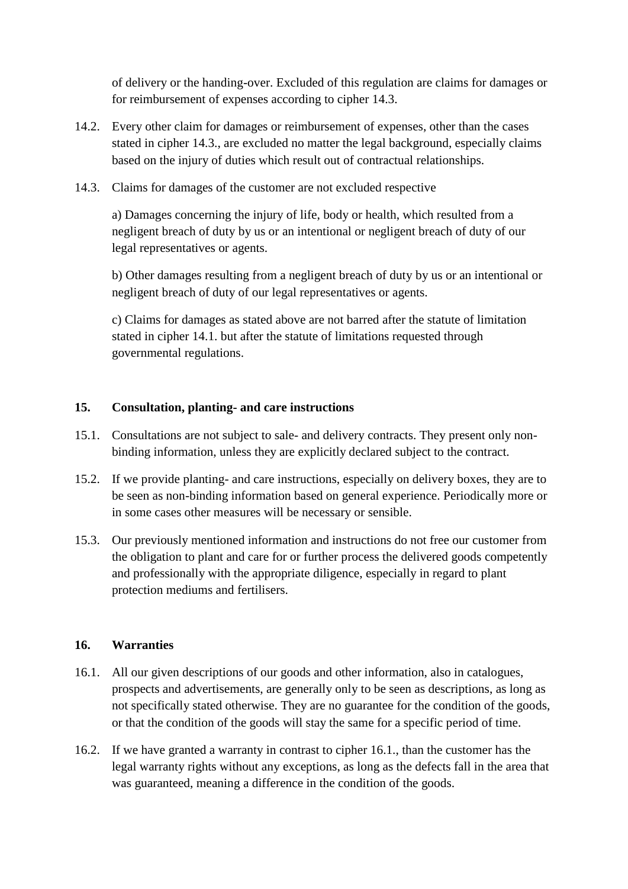of delivery or the handing-over. Excluded of this regulation are claims for damages or for reimbursement of expenses according to cipher 14.3.

- 14.2. Every other claim for damages or reimbursement of expenses, other than the cases stated in cipher 14.3., are excluded no matter the legal background, especially claims based on the injury of duties which result out of contractual relationships.
- 14.3. Claims for damages of the customer are not excluded respective

a) Damages concerning the injury of life, body or health, which resulted from a negligent breach of duty by us or an intentional or negligent breach of duty of our legal representatives or agents.

b) Other damages resulting from a negligent breach of duty by us or an intentional or negligent breach of duty of our legal representatives or agents.

c) Claims for damages as stated above are not barred after the statute of limitation stated in cipher 14.1. but after the statute of limitations requested through governmental regulations.

# **15. Consultation, planting- and care instructions**

- 15.1. Consultations are not subject to sale- and delivery contracts. They present only nonbinding information, unless they are explicitly declared subject to the contract.
- 15.2. If we provide planting- and care instructions, especially on delivery boxes, they are to be seen as non-binding information based on general experience. Periodically more or in some cases other measures will be necessary or sensible.
- 15.3. Our previously mentioned information and instructions do not free our customer from the obligation to plant and care for or further process the delivered goods competently and professionally with the appropriate diligence, especially in regard to plant protection mediums and fertilisers.

### **16. Warranties**

- 16.1. All our given descriptions of our goods and other information, also in catalogues, prospects and advertisements, are generally only to be seen as descriptions, as long as not specifically stated otherwise. They are no guarantee for the condition of the goods, or that the condition of the goods will stay the same for a specific period of time.
- 16.2. If we have granted a warranty in contrast to cipher 16.1., than the customer has the legal warranty rights without any exceptions, as long as the defects fall in the area that was guaranteed, meaning a difference in the condition of the goods.